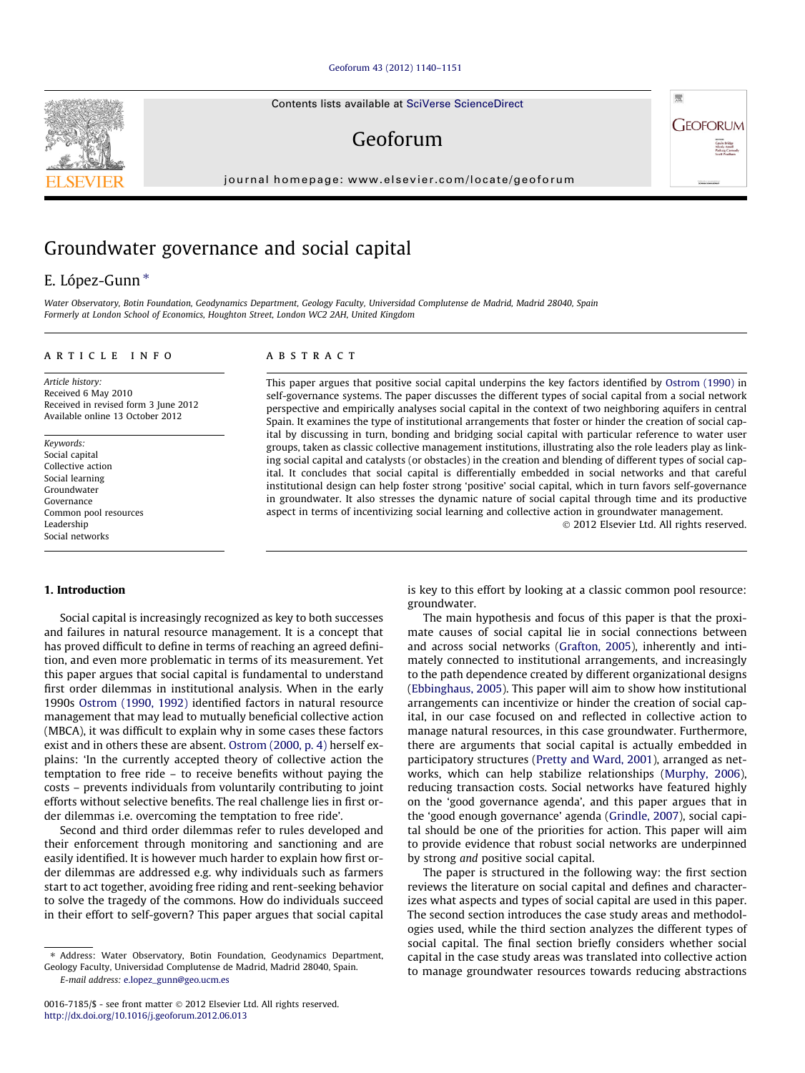#### [Geoforum 43 \(2012\) 1140–1151](http://dx.doi.org/10.1016/j.geoforum.2012.06.013)

Contents lists available at [SciVerse ScienceDirect](http://www.sciencedirect.com/science/journal/00167185)

## Geoforum

journal homepage: [www.elsevier.com/locate/geoforum](http://www.elsevier.com/locate/geoforum)

## Groundwater governance and social capital

### E. López-Gunn<sup>\*</sup>

Water Observatory, Botin Foundation, Geodynamics Department, Geology Faculty, Universidad Complutense de Madrid, Madrid 28040, Spain Formerly at London School of Economics, Houghton Street, London WC2 2AH, United Kingdom

#### article info

**ABSTRACT** 

Article history: Received 6 May 2010 Received in revised form 3 June 2012 Available online 13 October 2012

Keywords: Social capital Collective action Social learning Groundwater Governance Common pool resources Leadership Social networks

#### 1. Introduction

Social capital is increasingly recognized as key to both successes and failures in natural resource management. It is a concept that has proved difficult to define in terms of reaching an agreed definition, and even more problematic in terms of its measurement. Yet this paper argues that social capital is fundamental to understand first order dilemmas in institutional analysis. When in the early 1990s [Ostrom \(1990, 1992\)](#page--1-0) identified factors in natural resource management that may lead to mutually beneficial collective action (MBCA), it was difficult to explain why in some cases these factors exist and in others these are absent. [Ostrom \(2000, p. 4\)](#page--1-0) herself explains: 'In the currently accepted theory of collective action the temptation to free ride – to receive benefits without paying the costs – prevents individuals from voluntarily contributing to joint efforts without selective benefits. The real challenge lies in first order dilemmas i.e. overcoming the temptation to free ride'.

Second and third order dilemmas refer to rules developed and their enforcement through monitoring and sanctioning and are easily identified. It is however much harder to explain how first order dilemmas are addressed e.g. why individuals such as farmers start to act together, avoiding free riding and rent-seeking behavior to solve the tragedy of the commons. How do individuals succeed in their effort to self-govern? This paper argues that social capital is key to this effort by looking at a classic common pool resource: groundwater.

- 2012 Elsevier Ltd. All rights reserved.

This paper argues that positive social capital underpins the key factors identified by [Ostrom \(1990\)](#page--1-0) in self-governance systems. The paper discusses the different types of social capital from a social network perspective and empirically analyses social capital in the context of two neighboring aquifers in central Spain. It examines the type of institutional arrangements that foster or hinder the creation of social capital by discussing in turn, bonding and bridging social capital with particular reference to water user groups, taken as classic collective management institutions, illustrating also the role leaders play as linking social capital and catalysts (or obstacles) in the creation and blending of different types of social capital. It concludes that social capital is differentially embedded in social networks and that careful institutional design can help foster strong 'positive' social capital, which in turn favors self-governance in groundwater. It also stresses the dynamic nature of social capital through time and its productive aspect in terms of incentivizing social learning and collective action in groundwater management.

> The main hypothesis and focus of this paper is that the proximate causes of social capital lie in social connections between and across social networks ([Grafton, 2005](#page--1-0)), inherently and intimately connected to institutional arrangements, and increasingly to the path dependence created by different organizational designs ([Ebbinghaus, 2005\)](#page--1-0). This paper will aim to show how institutional arrangements can incentivize or hinder the creation of social capital, in our case focused on and reflected in collective action to manage natural resources, in this case groundwater. Furthermore, there are arguments that social capital is actually embedded in participatory structures ([Pretty and Ward, 2001](#page--1-0)), arranged as networks, which can help stabilize relationships [\(Murphy, 2006\)](#page--1-0), reducing transaction costs. Social networks have featured highly on the 'good governance agenda', and this paper argues that in the 'good enough governance' agenda ([Grindle, 2007](#page--1-0)), social capital should be one of the priorities for action. This paper will aim to provide evidence that robust social networks are underpinned by strong and positive social capital.

> The paper is structured in the following way: the first section reviews the literature on social capital and defines and characterizes what aspects and types of social capital are used in this paper. The second section introduces the case study areas and methodologies used, while the third section analyzes the different types of social capital. The final section briefly considers whether social capital in the case study areas was translated into collective action to manage groundwater resources towards reducing abstractions





<sup>⇑</sup> Address: Water Observatory, Botin Foundation, Geodynamics Department, Geology Faculty, Universidad Complutense de Madrid, Madrid 28040, Spain.

E-mail address: [e.lopez\\_gunn@geo.ucm.es](mailto:e.lopez_gunn@geo.ucm.es)

<sup>0016-7185/\$ -</sup> see front matter © 2012 Elsevier Ltd. All rights reserved. <http://dx.doi.org/10.1016/j.geoforum.2012.06.013>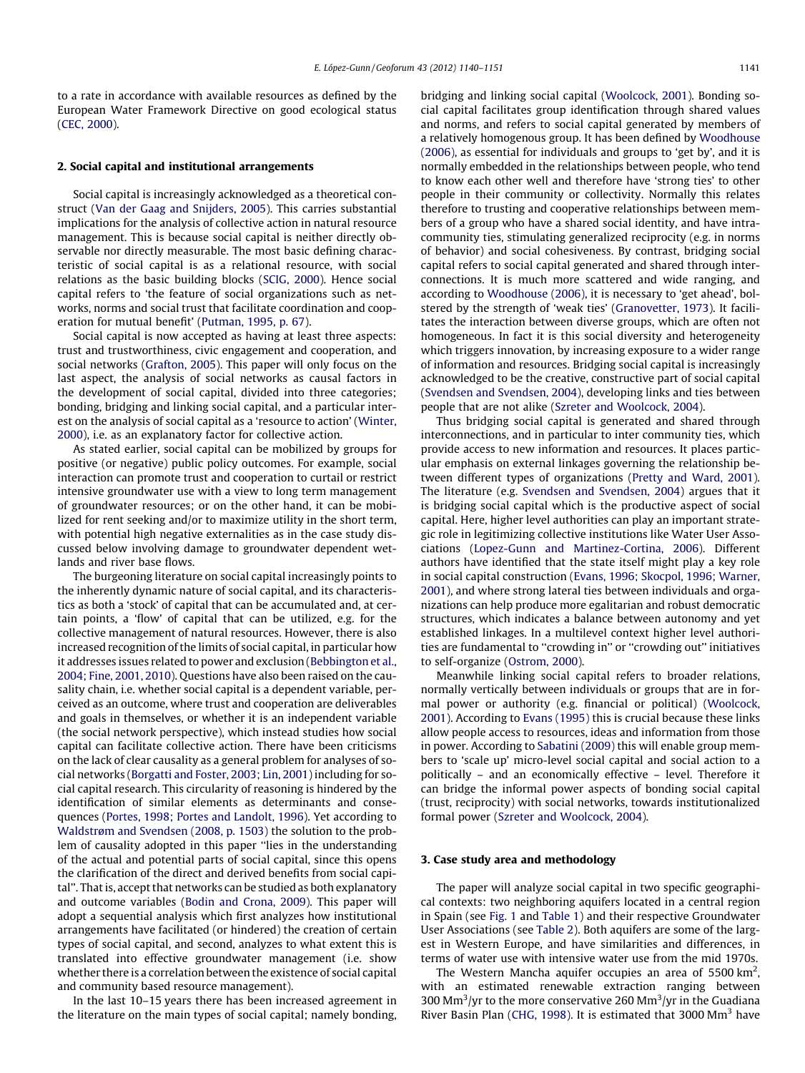to a rate in accordance with available resources as defined by the European Water Framework Directive on good ecological status ([CEC, 2000](#page--1-0)).

#### 2. Social capital and institutional arrangements

Social capital is increasingly acknowledged as a theoretical construct ([Van der Gaag and Snijders, 2005\)](#page--1-0). This carries substantial implications for the analysis of collective action in natural resource management. This is because social capital is neither directly observable nor directly measurable. The most basic defining characteristic of social capital is as a relational resource, with social relations as the basic building blocks ([SCIG, 2000\)](#page--1-0). Hence social capital refers to 'the feature of social organizations such as networks, norms and social trust that facilitate coordination and cooperation for mutual benefit' [\(Putman, 1995, p. 67\)](#page--1-0).

Social capital is now accepted as having at least three aspects: trust and trustworthiness, civic engagement and cooperation, and social networks ([Grafton, 2005\)](#page--1-0). This paper will only focus on the last aspect, the analysis of social networks as causal factors in the development of social capital, divided into three categories; bonding, bridging and linking social capital, and a particular interest on the analysis of social capital as a 'resource to action' [\(Winter,](#page--1-0) [2000](#page--1-0)), i.e. as an explanatory factor for collective action.

As stated earlier, social capital can be mobilized by groups for positive (or negative) public policy outcomes. For example, social interaction can promote trust and cooperation to curtail or restrict intensive groundwater use with a view to long term management of groundwater resources; or on the other hand, it can be mobilized for rent seeking and/or to maximize utility in the short term, with potential high negative externalities as in the case study discussed below involving damage to groundwater dependent wetlands and river base flows.

The burgeoning literature on social capital increasingly points to the inherently dynamic nature of social capital, and its characteristics as both a 'stock' of capital that can be accumulated and, at certain points, a 'flow' of capital that can be utilized, e.g. for the collective management of natural resources. However, there is also increased recognition of the limits of social capital, in particular how it addresses issues related to power and exclusion ([Bebbington et al.,](#page--1-0) [2004; Fine, 2001, 2010](#page--1-0)). Questions have also been raised on the causality chain, i.e. whether social capital is a dependent variable, perceived as an outcome, where trust and cooperation are deliverables and goals in themselves, or whether it is an independent variable (the social network perspective), which instead studies how social capital can facilitate collective action. There have been criticisms on the lack of clear causality as a general problem for analyses of social networks [\(Borgatti and Foster, 2003; Lin, 2001](#page--1-0)) including for social capital research. This circularity of reasoning is hindered by the identification of similar elements as determinants and consequences ([Portes, 1998; Portes and Landolt, 1996\)](#page--1-0). Yet according to [Waldstrøm and Svendsen \(2008, p. 1503\)](#page--1-0) the solution to the problem of causality adopted in this paper ''lies in the understanding of the actual and potential parts of social capital, since this opens the clarification of the direct and derived benefits from social capital''. That is, accept that networks can be studied as both explanatory and outcome variables [\(Bodin and Crona, 2009](#page--1-0)). This paper will adopt a sequential analysis which first analyzes how institutional arrangements have facilitated (or hindered) the creation of certain types of social capital, and second, analyzes to what extent this is translated into effective groundwater management (i.e. show whether there is a correlation between the existence of social capital and community based resource management).

In the last 10–15 years there has been increased agreement in the literature on the main types of social capital; namely bonding, bridging and linking social capital [\(Woolcock, 2001\)](#page--1-0). Bonding social capital facilitates group identification through shared values and norms, and refers to social capital generated by members of a relatively homogenous group. It has been defined by [Woodhouse](#page--1-0) [\(2006\)](#page--1-0), as essential for individuals and groups to 'get by', and it is normally embedded in the relationships between people, who tend to know each other well and therefore have 'strong ties' to other people in their community or collectivity. Normally this relates therefore to trusting and cooperative relationships between members of a group who have a shared social identity, and have intracommunity ties, stimulating generalized reciprocity (e.g. in norms of behavior) and social cohesiveness. By contrast, bridging social capital refers to social capital generated and shared through interconnections. It is much more scattered and wide ranging, and according to [Woodhouse \(2006\),](#page--1-0) it is necessary to 'get ahead', bolstered by the strength of 'weak ties' ([Granovetter, 1973\)](#page--1-0). It facilitates the interaction between diverse groups, which are often not homogeneous. In fact it is this social diversity and heterogeneity which triggers innovation, by increasing exposure to a wider range of information and resources. Bridging social capital is increasingly acknowledged to be the creative, constructive part of social capital ([Svendsen and Svendsen, 2004](#page--1-0)), developing links and ties between people that are not alike ([Szreter and Woolcock, 2004](#page--1-0)).

Thus bridging social capital is generated and shared through interconnections, and in particular to inter community ties, which provide access to new information and resources. It places particular emphasis on external linkages governing the relationship between different types of organizations ([Pretty and Ward, 2001\)](#page--1-0). The literature (e.g. [Svendsen and Svendsen, 2004](#page--1-0)) argues that it is bridging social capital which is the productive aspect of social capital. Here, higher level authorities can play an important strategic role in legitimizing collective institutions like Water User Associations ([Lopez-Gunn and Martinez-Cortina, 2006](#page--1-0)). Different authors have identified that the state itself might play a key role in social capital construction ([Evans, 1996; Skocpol, 1996; Warner,](#page--1-0) [2001](#page--1-0)), and where strong lateral ties between individuals and organizations can help produce more egalitarian and robust democratic structures, which indicates a balance between autonomy and yet established linkages. In a multilevel context higher level authorities are fundamental to "crowding in" or "crowding out" initiatives to self-organize [\(Ostrom, 2000\)](#page--1-0).

Meanwhile linking social capital refers to broader relations, normally vertically between individuals or groups that are in formal power or authority (e.g. financial or political) ([Woolcock,](#page--1-0) [2001](#page--1-0)). According to [Evans \(1995\)](#page--1-0) this is crucial because these links allow people access to resources, ideas and information from those in power. According to [Sabatini \(2009\)](#page--1-0) this will enable group members to 'scale up' micro-level social capital and social action to a politically – and an economically effective – level. Therefore it can bridge the informal power aspects of bonding social capital (trust, reciprocity) with social networks, towards institutionalized formal power ([Szreter and Woolcock, 2004](#page--1-0)).

#### 3. Case study area and methodology

The paper will analyze social capital in two specific geographical contexts: two neighboring aquifers located in a central region in Spain (see [Fig. 1](#page--1-0) and [Table 1\)](#page--1-0) and their respective Groundwater User Associations (see [Table 2\)](#page--1-0). Both aquifers are some of the largest in Western Europe, and have similarities and differences, in terms of water use with intensive water use from the mid 1970s.

The Western Mancha aquifer occupies an area of 5500 km<sup>2</sup>, with an estimated renewable extraction ranging between 300 Mm<sup>3</sup>/yr to the more conservative 260 Mm<sup>3</sup>/yr in the Guadiana River Basin Plan ([CHG, 1998](#page--1-0)). It is estimated that  $3000 \text{ Mm}^3$  have